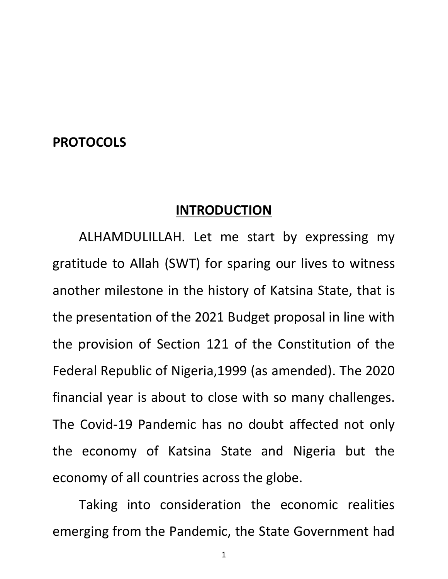## **PROTOCOLS**

#### **INTRODUCTION**

ALHAMDULILLAH. Let me start by expressing my gratitude to Allah (SWT) for sparing our lives to witness another milestone in the history of Katsina State, that is the presentation of the 2021 Budget proposal in line with the provision of Section 121 of the Constitution of the Federal Republic of Nigeria,1999 (as amended). The 2020 financial year is about to close with so many challenges. The Covid-19 Pandemic has no doubt affected not only the economy of Katsina State and Nigeria but the economy of all countries across the globe.

Taking into consideration the economic realities emerging from the Pandemic, the State Government had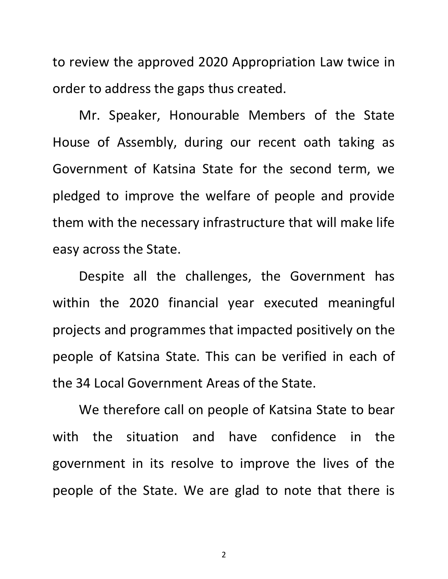to review the approved 2020 Appropriation Law twice in order to address the gaps thus created.

Mr. Speaker, Honourable Members of the State House of Assembly, during our recent oath taking as Government of Katsina State for the second term, we pledged to improve the welfare of people and provide them with the necessary infrastructure that will make life easy across the State.

Despite all the challenges, the Government has within the 2020 financial year executed meaningful projects and programmes that impacted positively on the people of Katsina State. This can be verified in each of the 34 Local Government Areas of the State.

We therefore call on people of Katsina State to bear with the situation and have confidence in the government in its resolve to improve the lives of the people of the State. We are glad to note that there is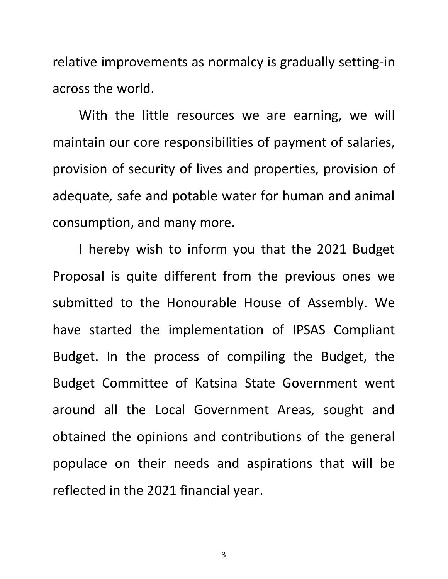relative improvements as normalcy is gradually setting-in across the world.

With the little resources we are earning, we will maintain our core responsibilities of payment of salaries, provision of security of lives and properties, provision of adequate, safe and potable water for human and animal consumption, and many more.

I hereby wish to inform you that the 2021 Budget Proposal is quite different from the previous ones we submitted to the Honourable House of Assembly. We have started the implementation of IPSAS Compliant Budget. In the process of compiling the Budget, the Budget Committee of Katsina State Government went around all the Local Government Areas, sought and obtained the opinions and contributions of the general populace on their needs and aspirations that will be reflected in the 2021 financial year.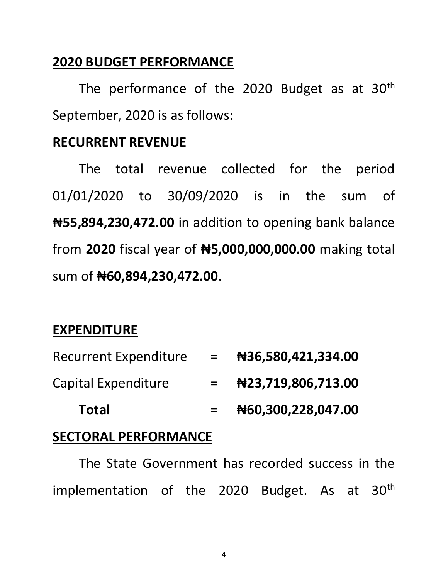# **2020 BUDGET PERFORMANCE**

The performance of the 2020 Budget as at 30<sup>th</sup> September, 2020 is as follows:

## **RECURRENT REVENUE**

The total revenue collected for the period 01/01/2020 to 30/09/2020 is in the sum of **₦55,894,230,472.00** in addition to opening bank balance from **2020** fiscal year of **₦5,000,000,000.00** making total sum of **₦60,894,230,472.00**.

# **EXPENDITURE**

| <b>Recurrent Expenditure</b> | $=$ | #36,580,421,334.00   |
|------------------------------|-----|----------------------|
| <b>Capital Expenditure</b>   | $=$ | Net23,719,806,713.00 |
| <b>Total</b>                 |     | N60,300,228,047.00   |

# **SECTORAL PERFORMANCE**

The State Government has recorded success in the implementation of the 2020 Budget. As at 30<sup>th</sup>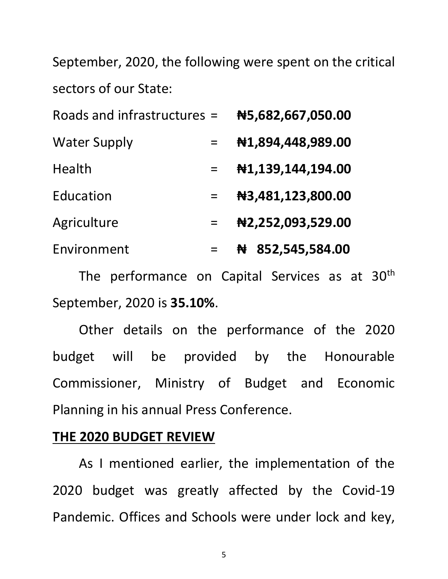September, 2020, the following were spent on the critical sectors of our State:

| Roads and infrastructures = |     | N5,682,667,050.00   |
|-----------------------------|-----|---------------------|
| <b>Water Supply</b>         |     | #1,894,448,989.00   |
| Health                      | $=$ | #1,139,144,194.00   |
| Education                   |     | N3,481,123,800.00   |
| Agriculture                 |     | N2,252,093,529.00   |
| Environment                 |     | 852,545,584.00<br>₩ |

The performance on Capital Services as at 30<sup>th</sup> September, 2020 is **35.10%**.

Other details on the performance of the 2020 budget will be provided by the Honourable Commissioner, Ministry of Budget and Economic Planning in his annual Press Conference.

### **THE 2020 BUDGET REVIEW**

As I mentioned earlier, the implementation of the 2020 budget was greatly affected by the Covid-19 Pandemic. Offices and Schools were under lock and key,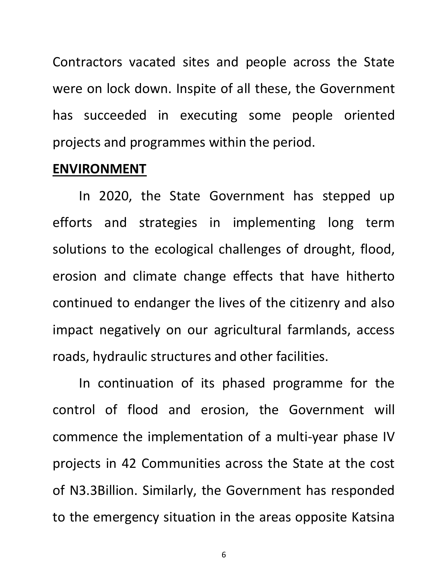Contractors vacated sites and people across the State were on lock down. Inspite of all these, the Government has succeeded in executing some people oriented projects and programmes within the period.

#### **ENVIRONMENT**

In 2020, the State Government has stepped up efforts and strategies in implementing long term solutions to the ecological challenges of drought, flood, erosion and climate change effects that have hitherto continued to endanger the lives of the citizenry and also impact negatively on our agricultural farmlands, access roads, hydraulic structures and other facilities.

In continuation of its phased programme for the control of flood and erosion, the Government will commence the implementation of a multi-year phase IV projects in 42 Communities across the State at the cost of N3.3Billion. Similarly, the Government has responded to the emergency situation in the areas opposite Katsina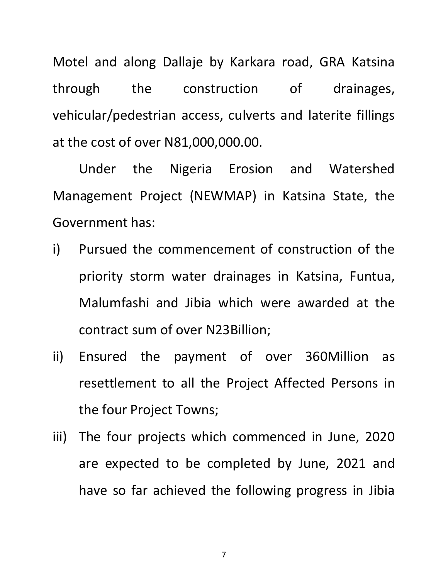Motel and along Dallaje by Karkara road, GRA Katsina through the construction of drainages, vehicular/pedestrian access, culverts and laterite fillings at the cost of over N81,000,000.00.

Under the Nigeria Erosion and Watershed Management Project (NEWMAP) in Katsina State, the Government has:

- i) Pursued the commencement of construction of the priority storm water drainages in Katsina, Funtua, Malumfashi and Jibia which were awarded at the contract sum of over N23Billion;
- ii) Ensured the payment of over 360Million as resettlement to all the Project Affected Persons in the four Project Towns;
- iii) The four projects which commenced in June, 2020 are expected to be completed by June, 2021 and have so far achieved the following progress in Jibia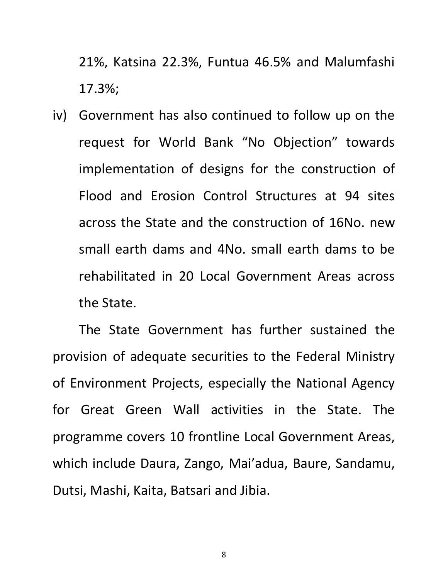21%, Katsina 22.3%, Funtua 46.5% and Malumfashi 17.3%;

iv) Government has also continued to follow up on the request for World Bank "No Objection" towards implementation of designs for the construction of Flood and Erosion Control Structures at 94 sites across the State and the construction of 16No. new small earth dams and 4No. small earth dams to be rehabilitated in 20 Local Government Areas across the State.

The State Government has further sustained the provision of adequate securities to the Federal Ministry of Environment Projects, especially the National Agency for Great Green Wall activities in the State. The programme covers 10 frontline Local Government Areas, which include Daura, Zango, Mai'adua, Baure, Sandamu, Dutsi, Mashi, Kaita, Batsari and Jibia.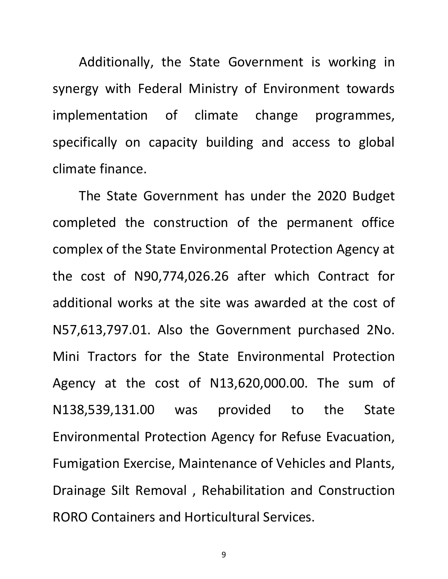Additionally, the State Government is working in synergy with Federal Ministry of Environment towards implementation of climate change programmes, specifically on capacity building and access to global climate finance.

The State Government has under the 2020 Budget completed the construction of the permanent office complex of the State Environmental Protection Agency at the cost of N90,774,026.26 after which Contract for additional works at the site was awarded at the cost of N57,613,797.01. Also the Government purchased 2No. Mini Tractors for the State Environmental Protection Agency at the cost of N13,620,000.00. The sum of N138,539,131.00 was provided to the State Environmental Protection Agency for Refuse Evacuation, Fumigation Exercise, Maintenance of Vehicles and Plants, Drainage Silt Removal , Rehabilitation and Construction RORO Containers and Horticultural Services.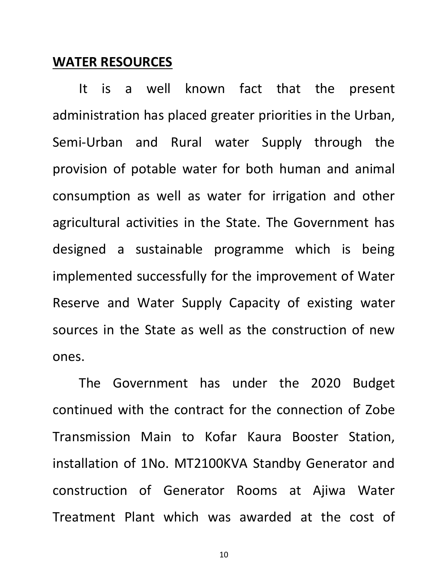#### **WATER RESOURCES**

It is a well known fact that the present administration has placed greater priorities in the Urban, Semi-Urban and Rural water Supply through the provision of potable water for both human and animal consumption as well as water for irrigation and other agricultural activities in the State. The Government has designed a sustainable programme which is being implemented successfully for the improvement of Water Reserve and Water Supply Capacity of existing water sources in the State as well as the construction of new ones.

The Government has under the 2020 Budget continued with the contract for the connection of Zobe Transmission Main to Kofar Kaura Booster Station, installation of 1No. MT2100KVA Standby Generator and construction of Generator Rooms at Ajiwa Water Treatment Plant which was awarded at the cost of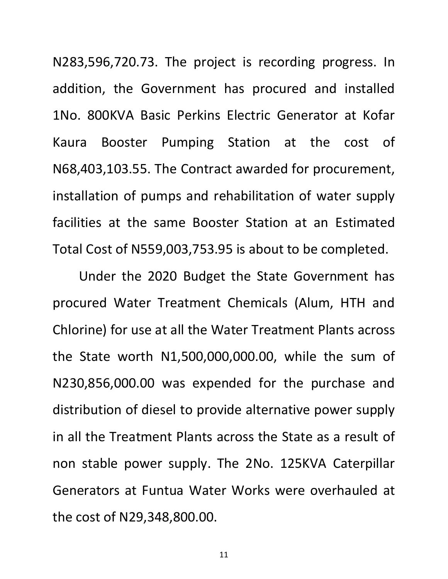N283,596,720.73. The project is recording progress. In addition, the Government has procured and installed 1No. 800KVA Basic Perkins Electric Generator at Kofar Kaura Booster Pumping Station at the cost of N68,403,103.55. The Contract awarded for procurement, installation of pumps and rehabilitation of water supply facilities at the same Booster Station at an Estimated Total Cost of N559,003,753.95 is about to be completed.

Under the 2020 Budget the State Government has procured Water Treatment Chemicals (Alum, HTH and Chlorine) for use at all the Water Treatment Plants across the State worth N1,500,000,000.00, while the sum of N230,856,000.00 was expended for the purchase and distribution of diesel to provide alternative power supply in all the Treatment Plants across the State as a result of non stable power supply. The 2No. 125KVA Caterpillar Generators at Funtua Water Works were overhauled at the cost of N29,348,800.00.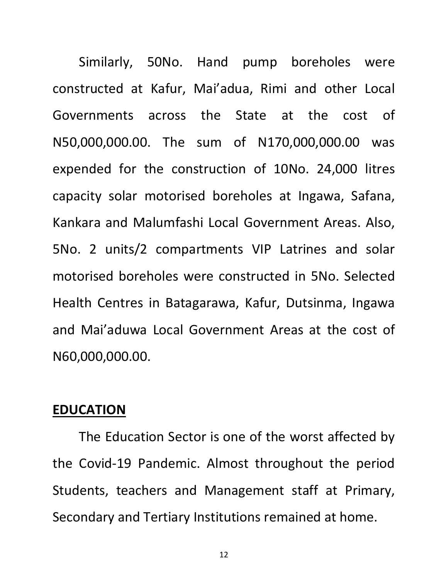Similarly, 50No. Hand pump boreholes were constructed at Kafur, Mai'adua, Rimi and other Local Governments across the State at the cost of N50,000,000.00. The sum of N170,000,000.00 was expended for the construction of 10No. 24,000 litres capacity solar motorised boreholes at Ingawa, Safana, Kankara and Malumfashi Local Government Areas. Also, 5No. 2 units/2 compartments VIP Latrines and solar motorised boreholes were constructed in 5No. Selected Health Centres in Batagarawa, Kafur, Dutsinma, Ingawa and Mai'aduwa Local Government Areas at the cost of N60,000,000.00.

#### **EDUCATION**

The Education Sector is one of the worst affected by the Covid-19 Pandemic. Almost throughout the period Students, teachers and Management staff at Primary, Secondary and Tertiary Institutions remained at home.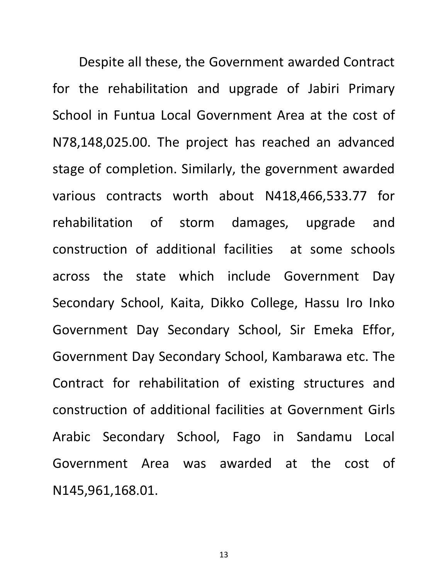Despite all these, the Government awarded Contract for the rehabilitation and upgrade of Jabiri Primary School in Funtua Local Government Area at the cost of N78,148,025.00. The project has reached an advanced stage of completion. Similarly, the government awarded various contracts worth about N418,466,533.77 for rehabilitation of storm damages, upgrade and construction of additional facilities at some schools across the state which include Government Day Secondary School, Kaita, Dikko College, Hassu Iro Inko Government Day Secondary School, Sir Emeka Effor, Government Day Secondary School, Kambarawa etc. The Contract for rehabilitation of existing structures and construction of additional facilities at Government Girls Arabic Secondary School, Fago in Sandamu Local Government Area was awarded at the cost of N145,961,168.01.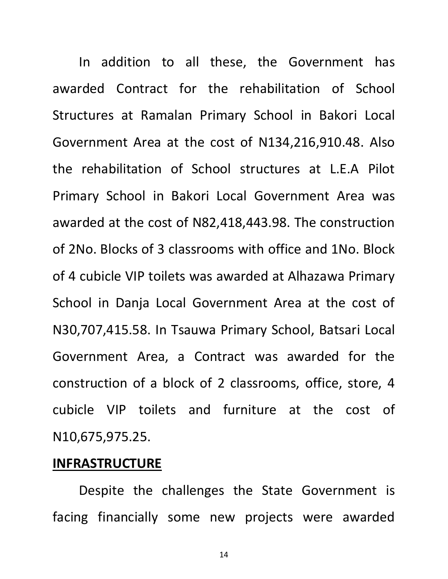In addition to all these, the Government has awarded Contract for the rehabilitation of School Structures at Ramalan Primary School in Bakori Local Government Area at the cost of N134,216,910.48. Also the rehabilitation of School structures at L.E.A Pilot Primary School in Bakori Local Government Area was awarded at the cost of N82,418,443.98. The construction of 2No. Blocks of 3 classrooms with office and 1No. Block of 4 cubicle VIP toilets was awarded at Alhazawa Primary School in Danja Local Government Area at the cost of N30,707,415.58. In Tsauwa Primary School, Batsari Local Government Area, a Contract was awarded for the construction of a block of 2 classrooms, office, store, 4 cubicle VIP toilets and furniture at the cost of N10,675,975.25.

### **INFRASTRUCTURE**

Despite the challenges the State Government is facing financially some new projects were awarded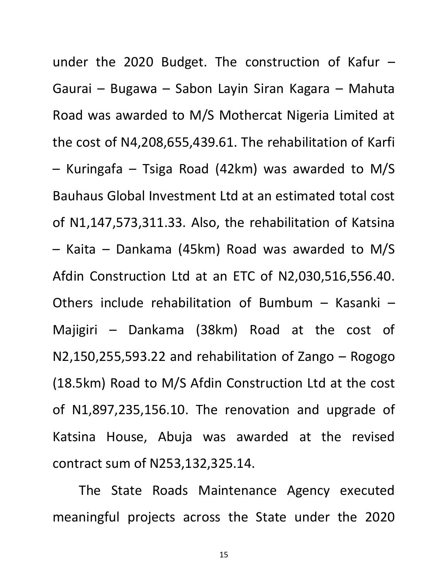under the 2020 Budget. The construction of Kafur  $-$ Gaurai – Bugawa – Sabon Layin Siran Kagara – Mahuta Road was awarded to M/S Mothercat Nigeria Limited at the cost of N4,208,655,439.61. The rehabilitation of Karfi – Kuringafa – Tsiga Road (42km) was awarded to M/S Bauhaus Global Investment Ltd at an estimated total cost of N1,147,573,311.33. Also, the rehabilitation of Katsina – Kaita – Dankama (45km) Road was awarded to M/S Afdin Construction Ltd at an ETC of N2,030,516,556.40. Others include rehabilitation of Bumbum – Kasanki – Majigiri – Dankama (38km) Road at the cost of N2,150,255,593.22 and rehabilitation of Zango – Rogogo (18.5km) Road to M/S Afdin Construction Ltd at the cost of N1,897,235,156.10. The renovation and upgrade of Katsina House, Abuja was awarded at the revised contract sum of N253,132,325.14.

The State Roads Maintenance Agency executed meaningful projects across the State under the 2020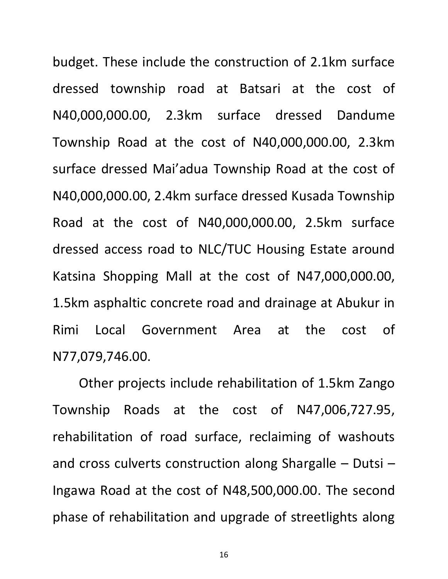budget. These include the construction of 2.1km surface dressed township road at Batsari at the cost of N40,000,000.00, 2.3km surface dressed Dandume Township Road at the cost of N40,000,000.00, 2.3km surface dressed Mai'adua Township Road at the cost of N40,000,000.00, 2.4km surface dressed Kusada Township Road at the cost of N40,000,000.00, 2.5km surface dressed access road to NLC/TUC Housing Estate around Katsina Shopping Mall at the cost of N47,000,000.00, 1.5km asphaltic concrete road and drainage at Abukur in Rimi Local Government Area at the cost of N77,079,746.00.

Other projects include rehabilitation of 1.5km Zango Township Roads at the cost of N47,006,727.95, rehabilitation of road surface, reclaiming of washouts and cross culverts construction along Shargalle – Dutsi – Ingawa Road at the cost of N48,500,000.00. The second phase of rehabilitation and upgrade of streetlights along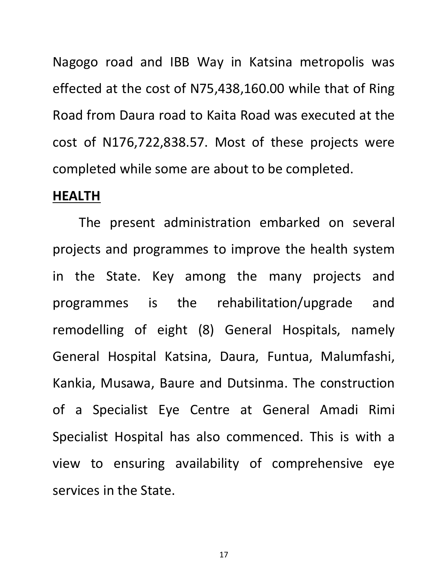Nagogo road and IBB Way in Katsina metropolis was effected at the cost of N75,438,160.00 while that of Ring Road from Daura road to Kaita Road was executed at the cost of N176,722,838.57. Most of these projects were completed while some are about to be completed.

#### **HEALTH**

The present administration embarked on several projects and programmes to improve the health system in the State. Key among the many projects and programmes is the rehabilitation/upgrade and remodelling of eight (8) General Hospitals, namely General Hospital Katsina, Daura, Funtua, Malumfashi, Kankia, Musawa, Baure and Dutsinma. The construction of a Specialist Eye Centre at General Amadi Rimi Specialist Hospital has also commenced. This is with a view to ensuring availability of comprehensive eye services in the State.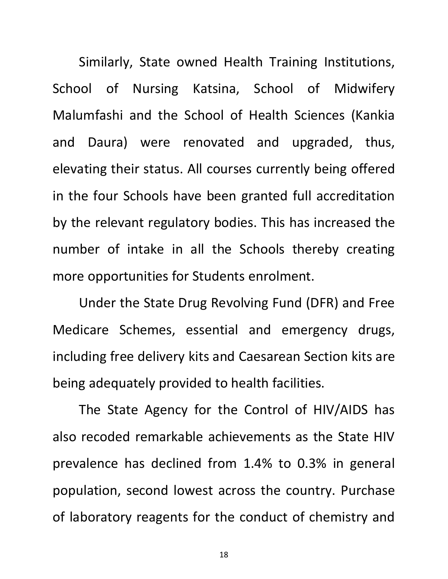Similarly, State owned Health Training Institutions, School of Nursing Katsina, School of Midwifery Malumfashi and the School of Health Sciences (Kankia and Daura) were renovated and upgraded, thus, elevating their status. All courses currently being offered in the four Schools have been granted full accreditation by the relevant regulatory bodies. This has increased the number of intake in all the Schools thereby creating more opportunities for Students enrolment.

Under the State Drug Revolving Fund (DFR) and Free Medicare Schemes, essential and emergency drugs, including free delivery kits and Caesarean Section kits are being adequately provided to health facilities.

The State Agency for the Control of HIV/AIDS has also recoded remarkable achievements as the State HIV prevalence has declined from 1.4% to 0.3% in general population, second lowest across the country. Purchase of laboratory reagents for the conduct of chemistry and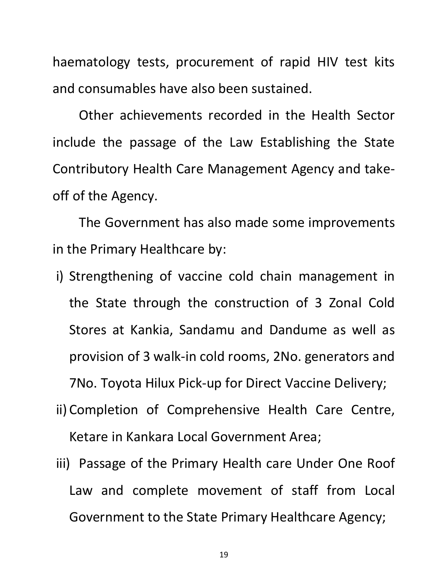haematology tests, procurement of rapid HIV test kits and consumables have also been sustained.

Other achievements recorded in the Health Sector include the passage of the Law Establishing the State Contributory Health Care Management Agency and takeoff of the Agency.

The Government has also made some improvements in the Primary Healthcare by:

- i) Strengthening of vaccine cold chain management in the State through the construction of 3 Zonal Cold Stores at Kankia, Sandamu and Dandume as well as provision of 3 walk-in cold rooms, 2No. generators and 7No. Toyota Hilux Pick-up for Direct Vaccine Delivery;
- ii) Completion of Comprehensive Health Care Centre, Ketare in Kankara Local Government Area;
- iii) Passage of the Primary Health care Under One Roof Law and complete movement of staff from Local Government to the State Primary Healthcare Agency;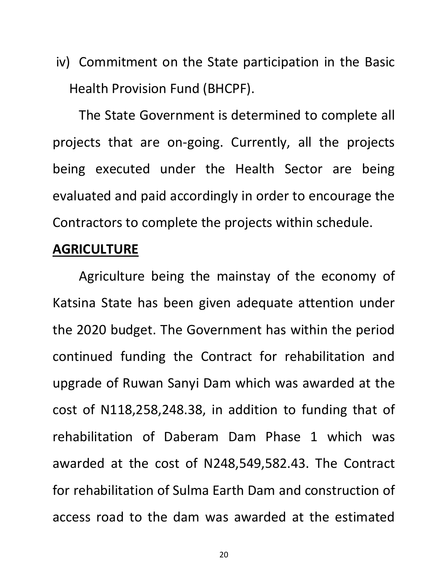iv) Commitment on the State participation in the Basic Health Provision Fund (BHCPF).

The State Government is determined to complete all projects that are on-going. Currently, all the projects being executed under the Health Sector are being evaluated and paid accordingly in order to encourage the Contractors to complete the projects within schedule.

### **AGRICULTURE**

Agriculture being the mainstay of the economy of Katsina State has been given adequate attention under the 2020 budget. The Government has within the period continued funding the Contract for rehabilitation and upgrade of Ruwan Sanyi Dam which was awarded at the cost of N118,258,248.38, in addition to funding that of rehabilitation of Daberam Dam Phase 1 which was awarded at the cost of N248,549,582.43. The Contract for rehabilitation of Sulma Earth Dam and construction of access road to the dam was awarded at the estimated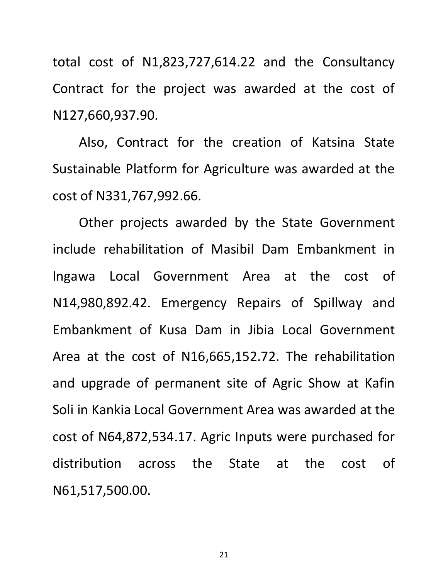total cost of N1,823,727,614.22 and the Consultancy Contract for the project was awarded at the cost of N127,660,937.90.

Also, Contract for the creation of Katsina State Sustainable Platform for Agriculture was awarded at the cost of N331,767,992.66.

Other projects awarded by the State Government include rehabilitation of Masibil Dam Embankment in Ingawa Local Government Area at the cost of N14,980,892.42. Emergency Repairs of Spillway and Embankment of Kusa Dam in Jibia Local Government Area at the cost of N16,665,152.72. The rehabilitation and upgrade of permanent site of Agric Show at Kafin Soli in Kankia Local Government Area was awarded at the cost of N64,872,534.17. Agric Inputs were purchased for distribution across the State at the cost of N61,517,500.00.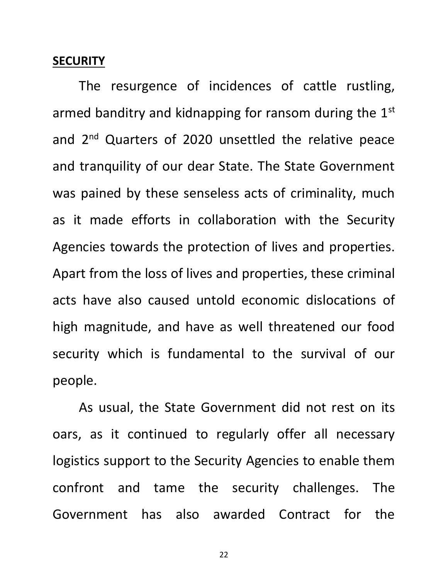#### **SECURITY**

The resurgence of incidences of cattle rustling, armed banditry and kidnapping for ransom during the 1<sup>st</sup> and 2<sup>nd</sup> Quarters of 2020 unsettled the relative peace and tranquility of our dear State. The State Government was pained by these senseless acts of criminality, much as it made efforts in collaboration with the Security Agencies towards the protection of lives and properties. Apart from the loss of lives and properties, these criminal acts have also caused untold economic dislocations of high magnitude, and have as well threatened our food security which is fundamental to the survival of our people.

As usual, the State Government did not rest on its oars, as it continued to regularly offer all necessary logistics support to the Security Agencies to enable them confront and tame the security challenges. The Government has also awarded Contract for the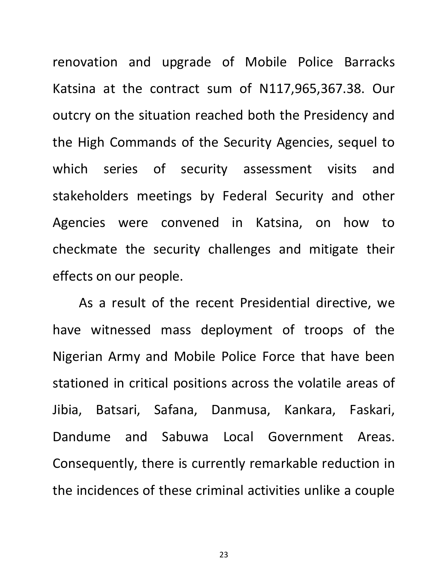renovation and upgrade of Mobile Police Barracks Katsina at the contract sum of N117,965,367.38. Our outcry on the situation reached both the Presidency and the High Commands of the Security Agencies, sequel to which series of security assessment visits and stakeholders meetings by Federal Security and other Agencies were convened in Katsina, on how to checkmate the security challenges and mitigate their effects on our people.

As a result of the recent Presidential directive, we have witnessed mass deployment of troops of the Nigerian Army and Mobile Police Force that have been stationed in critical positions across the volatile areas of Jibia, Batsari, Safana, Danmusa, Kankara, Faskari, Dandume and Sabuwa Local Government Areas. Consequently, there is currently remarkable reduction in the incidences of these criminal activities unlike a couple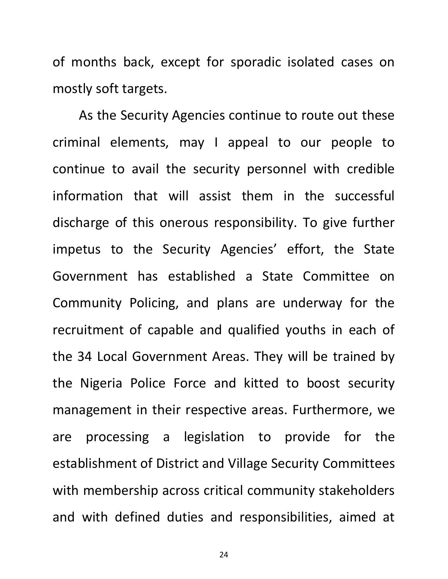of months back, except for sporadic isolated cases on mostly soft targets.

As the Security Agencies continue to route out these criminal elements, may I appeal to our people to continue to avail the security personnel with credible information that will assist them in the successful discharge of this onerous responsibility. To give further impetus to the Security Agencies' effort, the State Government has established a State Committee on Community Policing, and plans are underway for the recruitment of capable and qualified youths in each of the 34 Local Government Areas. They will be trained by the Nigeria Police Force and kitted to boost security management in their respective areas. Furthermore, we are processing a legislation to provide for the establishment of District and Village Security Committees with membership across critical community stakeholders and with defined duties and responsibilities, aimed at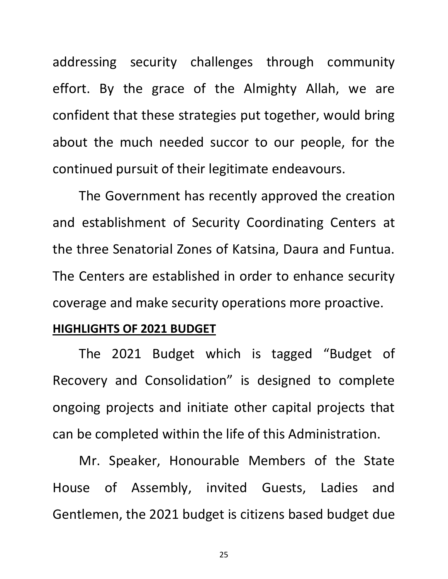addressing security challenges through community effort. By the grace of the Almighty Allah, we are confident that these strategies put together, would bring about the much needed succor to our people, for the continued pursuit of their legitimate endeavours.

The Government has recently approved the creation and establishment of Security Coordinating Centers at the three Senatorial Zones of Katsina, Daura and Funtua. The Centers are established in order to enhance security coverage and make security operations more proactive.

#### **HIGHLIGHTS OF 2021 BUDGET**

The 2021 Budget which is tagged "Budget of Recovery and Consolidation" is designed to complete ongoing projects and initiate other capital projects that can be completed within the life of this Administration.

Mr. Speaker, Honourable Members of the State House of Assembly, invited Guests, Ladies and Gentlemen, the 2021 budget is citizens based budget due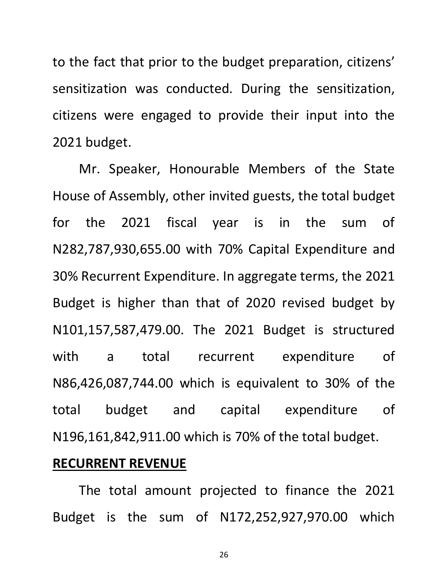to the fact that prior to the budget preparation, citizens' sensitization was conducted. During the sensitization, citizens were engaged to provide their input into the 2021 budget.

Mr. Speaker, Honourable Members of the State House of Assembly, other invited guests, the total budget for the 2021 fiscal year is in the sum of N282,787,930,655.00 with 70% Capital Expenditure and 30% Recurrent Expenditure. In aggregate terms, the 2021 Budget is higher than that of 2020 revised budget by N101,157,587,479.00. The 2021 Budget is structured with a total recurrent expenditure of N86,426,087,744.00 which is equivalent to 30% of the total budget and capital expenditure of N196,161,842,911.00 which is 70% of the total budget.

## **RECURRENT REVENUE**

The total amount projected to finance the 2021 Budget is the sum of N172,252,927,970.00 which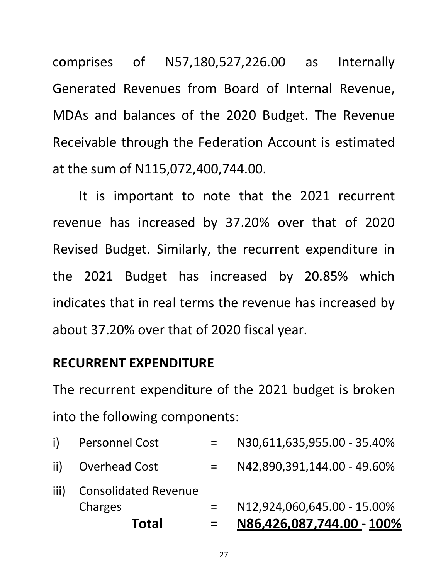comprises of N57,180,527,226.00 as Internally Generated Revenues from Board of Internal Revenue, MDAs and balances of the 2020 Budget. The Revenue Receivable through the Federation Account is estimated at the sum of N115,072,400,744.00.

It is important to note that the 2021 recurrent revenue has increased by 37.20% over that of 2020 Revised Budget. Similarly, the recurrent expenditure in the 2021 Budget has increased by 20.85% which indicates that in real terms the revenue has increased by about 37.20% over that of 2020 fiscal year.

## **RECURRENT EXPENDITURE**

The recurrent expenditure of the 2021 budget is broken into the following components:

|      | <b>Total</b>                           |     | <u>N86,426,087,744.00 - 100%</u> |
|------|----------------------------------------|-----|----------------------------------|
| iii) | <b>Consolidated Revenue</b><br>Charges | $=$ | N12,924,060,645.00 - 15.00%      |
|      | ii) Overhead Cost                      |     | N42,890,391,144.00 - 49.60%      |
| i)   | <b>Personnel Cost</b>                  |     | N30,611,635,955.00 - 35.40%      |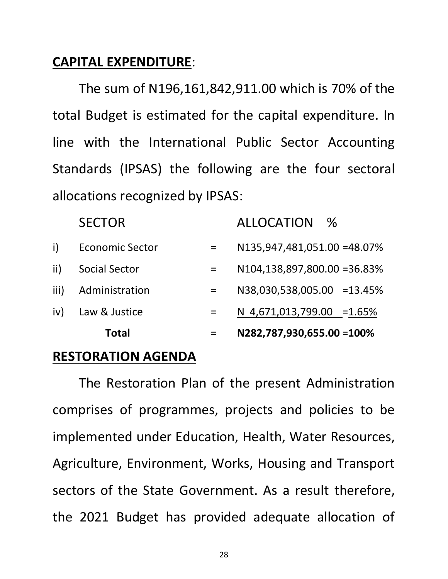## **CAPITAL EXPENDITURE**:

The sum of N196,161,842,911.00 which is 70% of the total Budget is estimated for the capital expenditure. In line with the International Public Sector Accounting Standards (IPSAS) the following are the four sectoral allocations recognized by IPSAS:

|      | <b>Total</b>           |     | N282,787,930,655.00 = 100%   |      |
|------|------------------------|-----|------------------------------|------|
| iv)  | Law & Justice          |     | N 4,671,013,799.00 = 1.65%   |      |
| iii) | Administration         | $=$ | N38,030,538,005.00 =13.45%   |      |
| ii)  | <b>Social Sector</b>   |     | N104,138,897,800.00 = 36.83% |      |
| i)   | <b>Economic Sector</b> | $=$ | N135,947,481,051.00 =48.07%  |      |
|      | <b>SECTOR</b>          |     | <b>ALLOCATION</b>            | $\%$ |

## **RESTORATION AGENDA**

The Restoration Plan of the present Administration comprises of programmes, projects and policies to be implemented under Education, Health, Water Resources, Agriculture, Environment, Works, Housing and Transport sectors of the State Government. As a result therefore, the 2021 Budget has provided adequate allocation of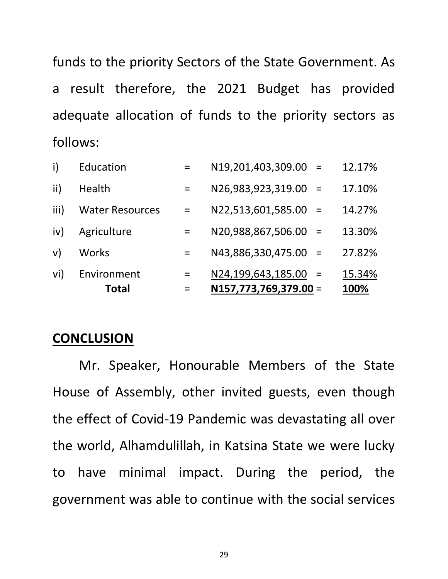funds to the priority Sectors of the State Government. As a result therefore, the 2021 Budget has provided adequate allocation of funds to the priority sectors as follows:

|      | <b>Total</b>           |     | $N157,773,769,379.00 =$   | 100%   |
|------|------------------------|-----|---------------------------|--------|
| vi)  | Environment            | $=$ | $N24, 199, 643, 185.00 =$ | 15.34% |
| V)   | <b>Works</b>           | $=$ | N43,886,330,475.00 =      | 27.82% |
| iv)  | Agriculture            | $=$ | N20,988,867,506.00 =      | 13.30% |
| iii) | <b>Water Resources</b> | $=$ | $N22,513,601,585.00 =$    | 14.27% |
| ii)  | Health                 | $=$ | $N26,983,923,319.00 =$    | 17.10% |
| i)   | Education              |     | N19,201,403,309.00 =      | 12.17% |

### **CONCLUSION**

Mr. Speaker, Honourable Members of the State House of Assembly, other invited guests, even though the effect of Covid-19 Pandemic was devastating all over the world, Alhamdulillah, in Katsina State we were lucky to have minimal impact. During the period, the government was able to continue with the social services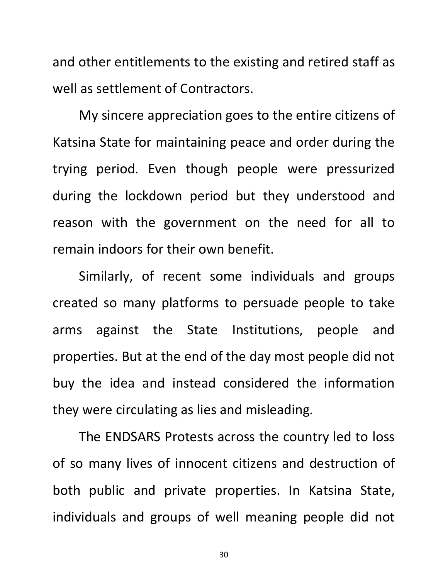and other entitlements to the existing and retired staff as well as settlement of Contractors.

My sincere appreciation goes to the entire citizens of Katsina State for maintaining peace and order during the trying period. Even though people were pressurized during the lockdown period but they understood and reason with the government on the need for all to remain indoors for their own benefit.

Similarly, of recent some individuals and groups created so many platforms to persuade people to take arms against the State Institutions, people and properties. But at the end of the day most people did not buy the idea and instead considered the information they were circulating as lies and misleading.

The ENDSARS Protests across the country led to loss of so many lives of innocent citizens and destruction of both public and private properties. In Katsina State, individuals and groups of well meaning people did not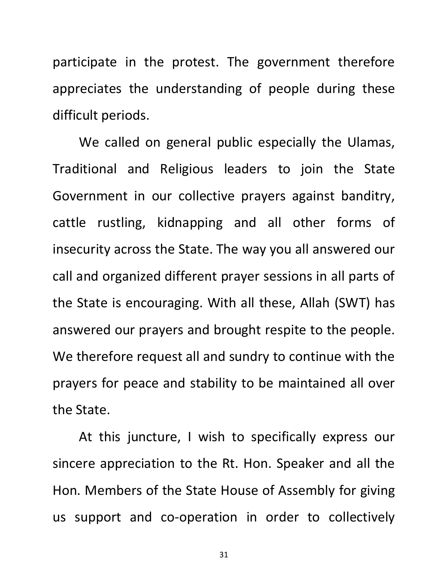participate in the protest. The government therefore appreciates the understanding of people during these difficult periods.

We called on general public especially the Ulamas, Traditional and Religious leaders to join the State Government in our collective prayers against banditry, cattle rustling, kidnapping and all other forms of insecurity across the State. The way you all answered our call and organized different prayer sessions in all parts of the State is encouraging. With all these, Allah (SWT) has answered our prayers and brought respite to the people. We therefore request all and sundry to continue with the prayers for peace and stability to be maintained all over the State.

At this juncture, I wish to specifically express our sincere appreciation to the Rt. Hon. Speaker and all the Hon. Members of the State House of Assembly for giving us support and co-operation in order to collectively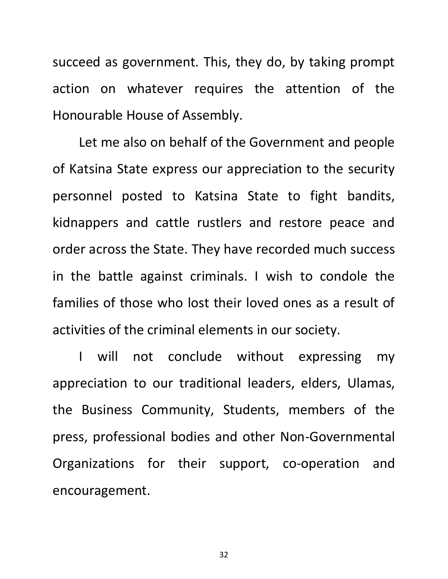succeed as government. This, they do, by taking prompt action on whatever requires the attention of the Honourable House of Assembly.

Let me also on behalf of the Government and people of Katsina State express our appreciation to the security personnel posted to Katsina State to fight bandits, kidnappers and cattle rustlers and restore peace and order across the State. They have recorded much success in the battle against criminals. I wish to condole the families of those who lost their loved ones as a result of activities of the criminal elements in our society.

I will not conclude without expressing my appreciation to our traditional leaders, elders, Ulamas, the Business Community, Students, members of the press, professional bodies and other Non-Governmental Organizations for their support, co-operation and encouragement.